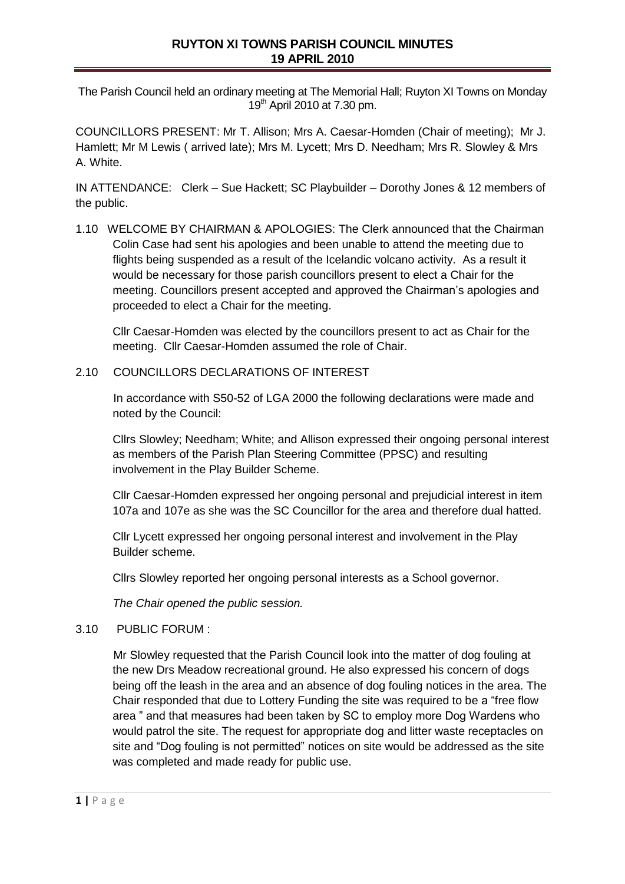# **RUYTON XI TOWNS PARISH COUNCIL MINUTES 19 APRIL 2010**

The Parish Council held an ordinary meeting at The Memorial Hall; Ruyton XI Towns on Monday  $19<sup>th</sup>$  April 2010 at 7.30 pm.

COUNCILLORS PRESENT: Mr T. Allison; Mrs A. Caesar-Homden (Chair of meeting); Mr J. Hamlett; Mr M Lewis ( arrived late); Mrs M. Lycett; Mrs D. Needham; Mrs R. Slowley & Mrs A. White.

IN ATTENDANCE: Clerk – Sue Hackett; SC Playbuilder – Dorothy Jones & 12 members of the public.

1.10 WELCOME BY CHAIRMAN & APOLOGIES: The Clerk announced that the Chairman Colin Case had sent his apologies and been unable to attend the meeting due to flights being suspended as a result of the Icelandic volcano activity. As a result it would be necessary for those parish councillors present to elect a Chair for the meeting. Councillors present accepted and approved the Chairman's apologies and proceeded to elect a Chair for the meeting.

Cllr Caesar-Homden was elected by the councillors present to act as Chair for the meeting. Cllr Caesar-Homden assumed the role of Chair.

#### 2.10 COUNCILLORS DECLARATIONS OF INTEREST

In accordance with S50-52 of LGA 2000 the following declarations were made and noted by the Council:

Cllrs Slowley; Needham; White; and Allison expressed their ongoing personal interest as members of the Parish Plan Steering Committee (PPSC) and resulting involvement in the Play Builder Scheme.

Cllr Caesar-Homden expressed her ongoing personal and prejudicial interest in item 107a and 107e as she was the SC Councillor for the area and therefore dual hatted.

Cllr Lycett expressed her ongoing personal interest and involvement in the Play Builder scheme.

Cllrs Slowley reported her ongoing personal interests as a School governor.

*The Chair opened the public session.* 

#### 3.10 PUBLIC FORUM :

Mr Slowley requested that the Parish Council look into the matter of dog fouling at the new Drs Meadow recreational ground. He also expressed his concern of dogs being off the leash in the area and an absence of dog fouling notices in the area. The Chair responded that due to Lottery Funding the site was required to be a "free flow area " and that measures had been taken by SC to employ more Dog Wardens who would patrol the site. The request for appropriate dog and litter waste receptacles on site and "Dog fouling is not permitted" notices on site would be addressed as the site was completed and made ready for public use.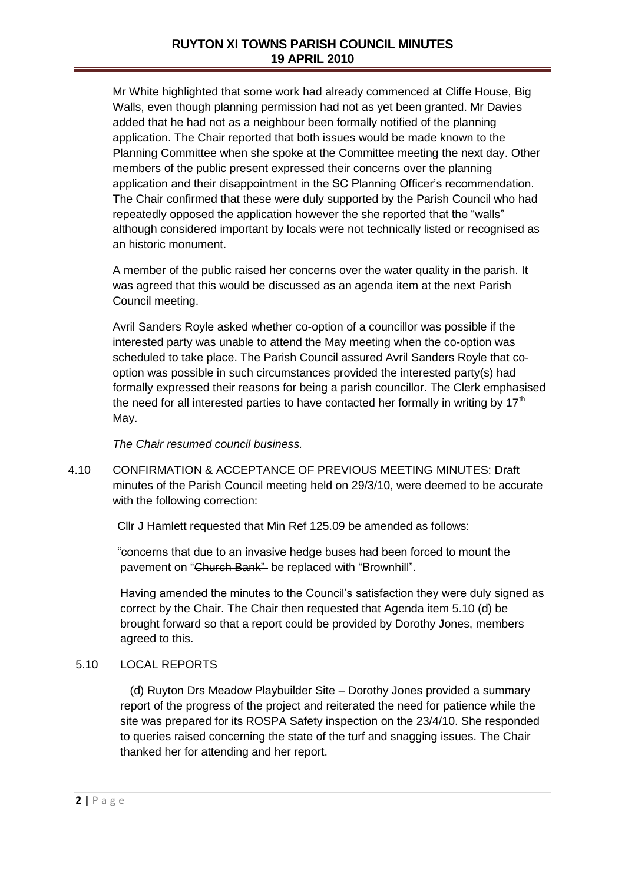Mr White highlighted that some work had already commenced at Cliffe House, Big Walls, even though planning permission had not as yet been granted. Mr Davies added that he had not as a neighbour been formally notified of the planning application. The Chair reported that both issues would be made known to the Planning Committee when she spoke at the Committee meeting the next day. Other members of the public present expressed their concerns over the planning application and their disappointment in the SC Planning Officer's recommendation. The Chair confirmed that these were duly supported by the Parish Council who had repeatedly opposed the application however the she reported that the "walls" although considered important by locals were not technically listed or recognised as an historic monument.

A member of the public raised her concerns over the water quality in the parish. It was agreed that this would be discussed as an agenda item at the next Parish Council meeting.

Avril Sanders Royle asked whether co-option of a councillor was possible if the interested party was unable to attend the May meeting when the co-option was scheduled to take place. The Parish Council assured Avril Sanders Royle that cooption was possible in such circumstances provided the interested party(s) had formally expressed their reasons for being a parish councillor. The Clerk emphasised the need for all interested parties to have contacted her formally in writing by  $17<sup>th</sup>$ May.

*The Chair resumed council business.* 

4.10 CONFIRMATION & ACCEPTANCE OF PREVIOUS MEETING MINUTES: Draft minutes of the Parish Council meeting held on 29/3/10, were deemed to be accurate with the following correction:

Cllr J Hamlett requested that Min Ref 125.09 be amended as follows:

 "concerns that due to an invasive hedge buses had been forced to mount the pavement on "Church Bank" be replaced with "Brownhill".

Having amended the minutes to the Council's satisfaction they were duly signed as correct by the Chair. The Chair then requested that Agenda item 5.10 (d) be brought forward so that a report could be provided by Dorothy Jones, members agreed to this.

### 5.10 LOCAL REPORTS

 (d) Ruyton Drs Meadow Playbuilder Site – Dorothy Jones provided a summary report of the progress of the project and reiterated the need for patience while the site was prepared for its ROSPA Safety inspection on the 23/4/10. She responded to queries raised concerning the state of the turf and snagging issues. The Chair thanked her for attending and her report.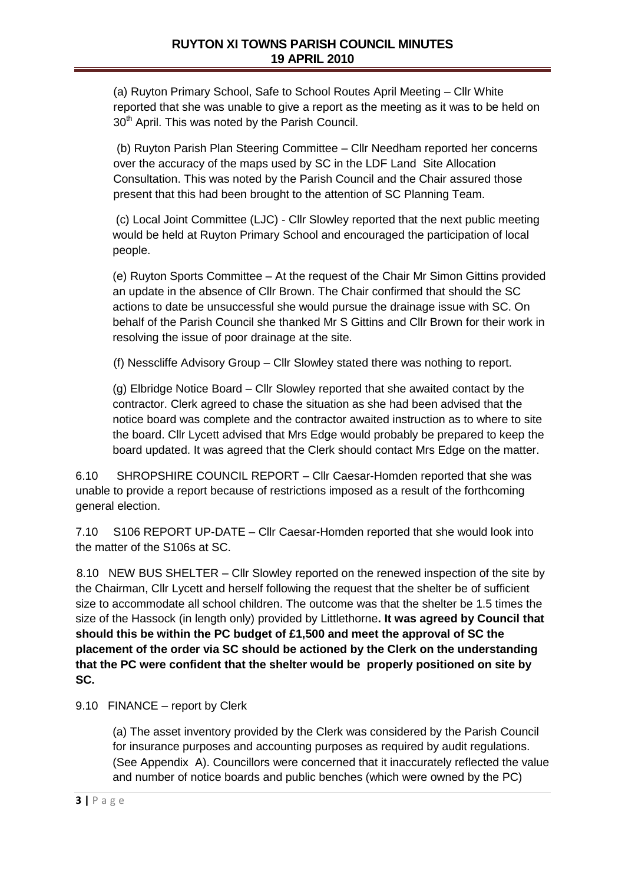(a) Ruyton Primary School, Safe to School Routes April Meeting – Cllr White reported that she was unable to give a report as the meeting as it was to be held on 30<sup>th</sup> April. This was noted by the Parish Council.

(b) Ruyton Parish Plan Steering Committee – Cllr Needham reported her concerns over the accuracy of the maps used by SC in the LDF Land Site Allocation Consultation. This was noted by the Parish Council and the Chair assured those present that this had been brought to the attention of SC Planning Team.

(c) Local Joint Committee (LJC) - Cllr Slowley reported that the next public meeting would be held at Ruyton Primary School and encouraged the participation of local people.

(e) Ruyton Sports Committee – At the request of the Chair Mr Simon Gittins provided an update in the absence of Cllr Brown. The Chair confirmed that should the SC actions to date be unsuccessful she would pursue the drainage issue with SC. On behalf of the Parish Council she thanked Mr S Gittins and Cllr Brown for their work in resolving the issue of poor drainage at the site.

(f) Nesscliffe Advisory Group – Cllr Slowley stated there was nothing to report.

(g) Elbridge Notice Board – Cllr Slowley reported that she awaited contact by the contractor. Clerk agreed to chase the situation as she had been advised that the notice board was complete and the contractor awaited instruction as to where to site the board. Cllr Lycett advised that Mrs Edge would probably be prepared to keep the board updated. It was agreed that the Clerk should contact Mrs Edge on the matter.

6.10 SHROPSHIRE COUNCIL REPORT – Cllr Caesar-Homden reported that she was unable to provide a report because of restrictions imposed as a result of the forthcoming general election.

7.10 S106 REPORT UP-DATE – Cllr Caesar-Homden reported that she would look into the matter of the S106s at SC.

 8.10 NEW BUS SHELTER – Cllr Slowley reported on the renewed inspection of the site by the Chairman, Cllr Lycett and herself following the request that the shelter be of sufficient size to accommodate all school children. The outcome was that the shelter be 1.5 times the size of the Hassock (in length only) provided by Littlethorne**. It was agreed by Council that should this be within the PC budget of £1,500 and meet the approval of SC the placement of the order via SC should be actioned by the Clerk on the understanding that the PC were confident that the shelter would be properly positioned on site by SC.**

### 9.10 FINANCE – report by Clerk

(a) The asset inventory provided by the Clerk was considered by the Parish Council for insurance purposes and accounting purposes as required by audit regulations. (See Appendix A). Councillors were concerned that it inaccurately reflected the value and number of notice boards and public benches (which were owned by the PC)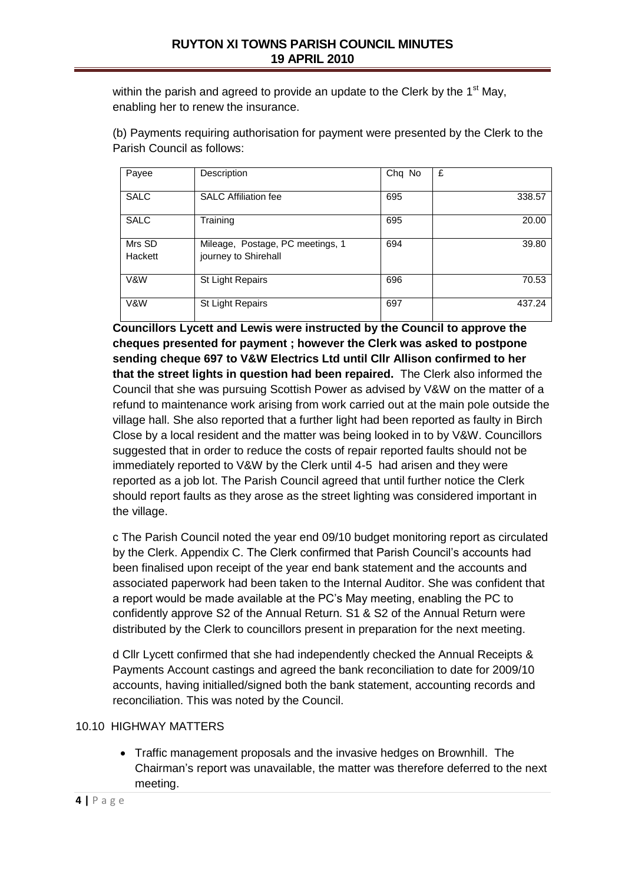within the parish and agreed to provide an update to the Clerk by the  $1<sup>st</sup>$  May, enabling her to renew the insurance.

(b) Payments requiring authorisation for payment were presented by the Clerk to the Parish Council as follows:

| Payee             | Description                                              | Chq No | £      |
|-------------------|----------------------------------------------------------|--------|--------|
| <b>SALC</b>       | <b>SALC Affiliation fee</b>                              | 695    | 338.57 |
| <b>SALC</b>       | Training                                                 | 695    | 20.00  |
| Mrs SD<br>Hackett | Mileage, Postage, PC meetings, 1<br>journey to Shirehall | 694    | 39.80  |
| V&W               | St Light Repairs                                         | 696    | 70.53  |
| V&W               | St Light Repairs                                         | 697    | 437.24 |

**Councillors Lycett and Lewis were instructed by the Council to approve the cheques presented for payment ; however the Clerk was asked to postpone sending cheque 697 to V&W Electrics Ltd until Cllr Allison confirmed to her that the street lights in question had been repaired.** The Clerk also informed the Council that she was pursuing Scottish Power as advised by V&W on the matter of a refund to maintenance work arising from work carried out at the main pole outside the village hall. She also reported that a further light had been reported as faulty in Birch Close by a local resident and the matter was being looked in to by V&W. Councillors suggested that in order to reduce the costs of repair reported faults should not be immediately reported to V&W by the Clerk until 4-5 had arisen and they were reported as a job lot. The Parish Council agreed that until further notice the Clerk should report faults as they arose as the street lighting was considered important in the village.

c The Parish Council noted the year end 09/10 budget monitoring report as circulated by the Clerk. Appendix C. The Clerk confirmed that Parish Council's accounts had been finalised upon receipt of the year end bank statement and the accounts and associated paperwork had been taken to the Internal Auditor. She was confident that a report would be made available at the PC's May meeting, enabling the PC to confidently approve S2 of the Annual Return. S1 & S2 of the Annual Return were distributed by the Clerk to councillors present in preparation for the next meeting.

d Cllr Lycett confirmed that she had independently checked the Annual Receipts & Payments Account castings and agreed the bank reconciliation to date for 2009/10 accounts, having initialled/signed both the bank statement, accounting records and reconciliation. This was noted by the Council.

### 10.10 HIGHWAY MATTERS

 Traffic management proposals and the invasive hedges on Brownhill. The Chairman's report was unavailable, the matter was therefore deferred to the next meeting.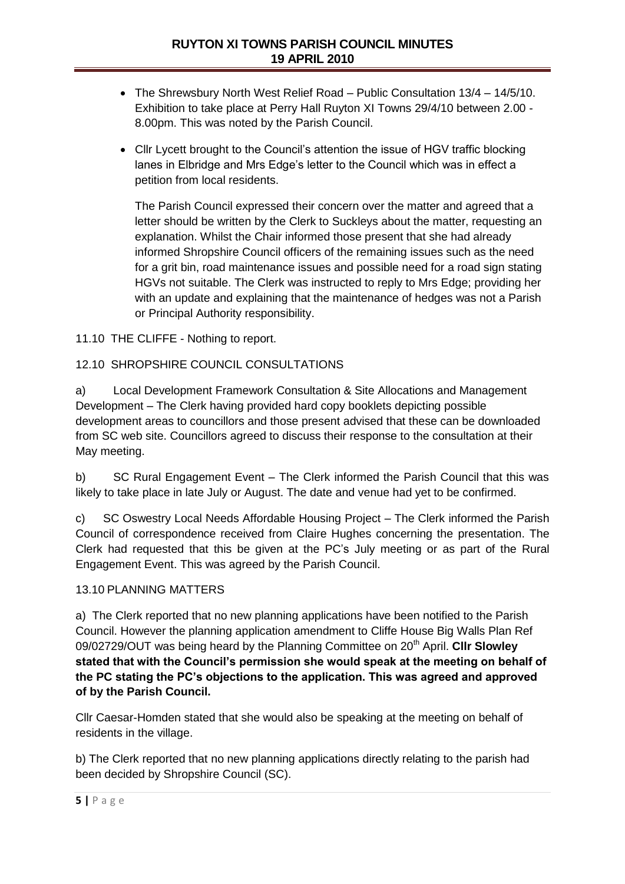- The Shrewsbury North West Relief Road Public Consultation 13/4 14/5/10. Exhibition to take place at Perry Hall Ruyton XI Towns 29/4/10 between 2.00 - 8.00pm. This was noted by the Parish Council.
- Cllr Lycett brought to the Council's attention the issue of HGV traffic blocking lanes in Elbridge and Mrs Edge's letter to the Council which was in effect a petition from local residents.

The Parish Council expressed their concern over the matter and agreed that a letter should be written by the Clerk to Suckleys about the matter, requesting an explanation. Whilst the Chair informed those present that she had already informed Shropshire Council officers of the remaining issues such as the need for a grit bin, road maintenance issues and possible need for a road sign stating HGVs not suitable. The Clerk was instructed to reply to Mrs Edge; providing her with an update and explaining that the maintenance of hedges was not a Parish or Principal Authority responsibility.

11.10 THE CLIFFE - Nothing to report.

## 12.10 SHROPSHIRE COUNCIL CONSULTATIONS

a) Local Development Framework Consultation & Site Allocations and Management Development – The Clerk having provided hard copy booklets depicting possible development areas to councillors and those present advised that these can be downloaded from SC web site. Councillors agreed to discuss their response to the consultation at their May meeting.

b) SC Rural Engagement Event – The Clerk informed the Parish Council that this was likely to take place in late July or August. The date and venue had yet to be confirmed.

c) SC Oswestry Local Needs Affordable Housing Project – The Clerk informed the Parish Council of correspondence received from Claire Hughes concerning the presentation. The Clerk had requested that this be given at the PC's July meeting or as part of the Rural Engagement Event. This was agreed by the Parish Council.

### 13.10 PLANNING MATTERS

a) The Clerk reported that no new planning applications have been notified to the Parish Council. However the planning application amendment to Cliffe House Big Walls Plan Ref 09/02729/OUT was being heard by the Planning Committee on 20<sup>th</sup> April. Cllr Slowlev **stated that with the Council's permission she would speak at the meeting on behalf of the PC stating the PC's objections to the application. This was agreed and approved of by the Parish Council.**

Cllr Caesar-Homden stated that she would also be speaking at the meeting on behalf of residents in the village.

b) The Clerk reported that no new planning applications directly relating to the parish had been decided by Shropshire Council (SC).